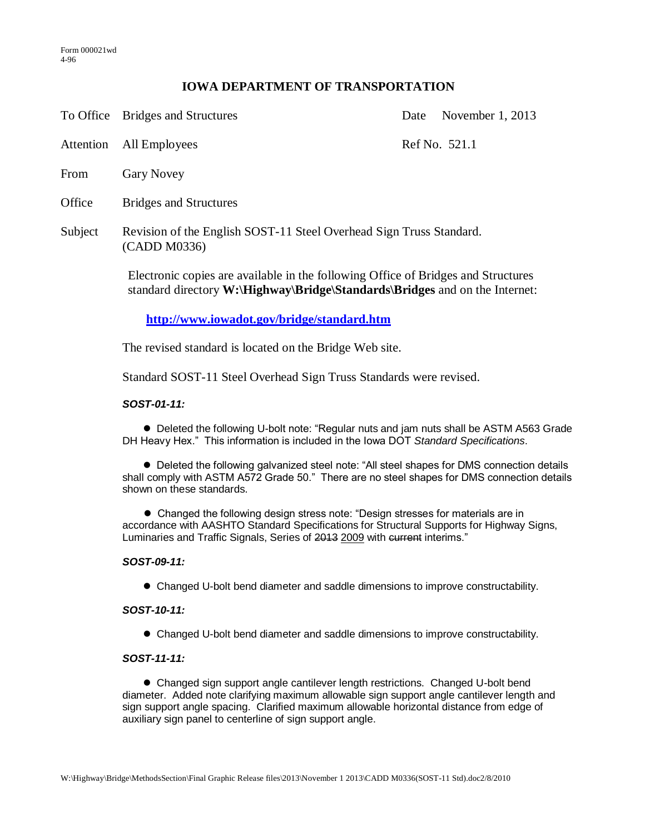# **IOWA DEPARTMENT OF TRANSPORTATION**

To Office Bridges and Structures Date November 1, 2013

Attention All Employees Ref No. 521.1

- From Gary Novey
- Office Bridges and Structures
- Subject Revision of the English SOST-11 Steel Overhead Sign Truss Standard. (CADD M0336)

Electronic copies are available in the following Office of Bridges and Structures standard directory **W:\Highway\Bridge\Standards\Bridges** and on the Internet:

**<http://www.iowadot.gov/bridge/standard.htm>**

The revised standard is located on the Bridge Web site.

Standard SOST-11 Steel Overhead Sign Truss Standards were revised.

## *SOST-01-11:*

 Deleted the following U-bolt note: "Regular nuts and jam nuts shall be ASTM A563 Grade DH Heavy Hex." This information is included in the Iowa DOT *Standard Specifications*.

 Deleted the following galvanized steel note: "All steel shapes for DMS connection details shall comply with ASTM A572 Grade 50." There are no steel shapes for DMS connection details shown on these standards.

 Changed the following design stress note: "Design stresses for materials are in accordance with AASHTO Standard Specifications for Structural Supports for Highway Signs, Luminaries and Traffic Signals, Series of 2013 2009 with current interims."

#### *SOST-09-11:*

Changed U-bolt bend diameter and saddle dimensions to improve constructability.

## *SOST-10-11:*

Changed U-bolt bend diameter and saddle dimensions to improve constructability.

#### *SOST-11-11:*

 Changed sign support angle cantilever length restrictions. Changed U-bolt bend diameter. Added note clarifying maximum allowable sign support angle cantilever length and sign support angle spacing. Clarified maximum allowable horizontal distance from edge of auxiliary sign panel to centerline of sign support angle.